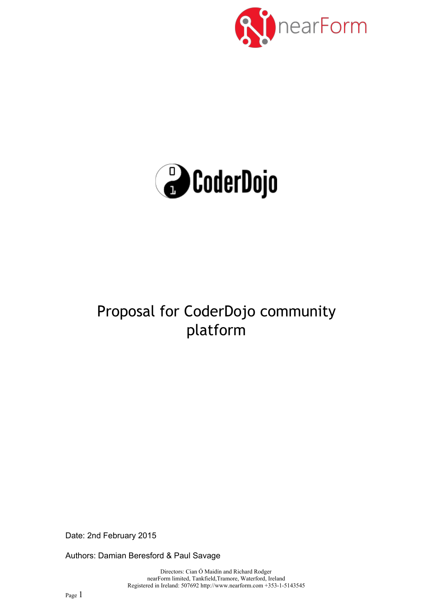



# Proposal for CoderDojo community platform

Date: 2nd February 2015

Authors: Damian Beresford & Paul Savage

Directors: Cian Ó Maidín and Richard Rodger nearForm limited, Tankfield,Tramore, Waterford, Ireland Registered in Ireland: 507692 http://www.nearform.com +353-1-5143545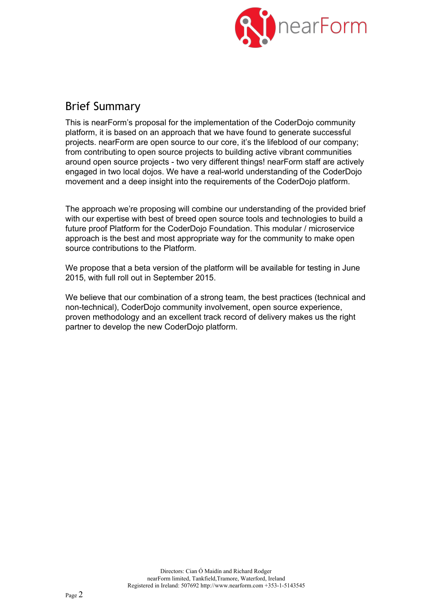

## Brief Summary

This is nearForm's proposal for the implementation of the CoderDojo community platform, it is based on an approach that we have found to generate successful projects. nearForm are open source to our core, it's the lifeblood of our company; from contributing to open source projects to building active vibrant communities around open source projects - two very different things! nearForm staff are actively engaged in two local dojos. We have a real-world understanding of the CoderDojo movement and a deep insight into the requirements of the CoderDojo platform.

The approach we're proposing will combine our understanding of the provided brief with our expertise with best of breed open source tools and technologies to build a future proof Platform for the CoderDojo Foundation. This modular / microservice approach is the best and most appropriate way for the community to make open source contributions to the Platform.

We propose that a beta version of the platform will be available for testing in June 2015, with full roll out in September 2015.

We believe that our combination of a strong team, the best practices (technical and non-technical), CoderDojo community involvement, open source experience, proven methodology and an excellent track record of delivery makes us the right partner to develop the new CoderDojo platform.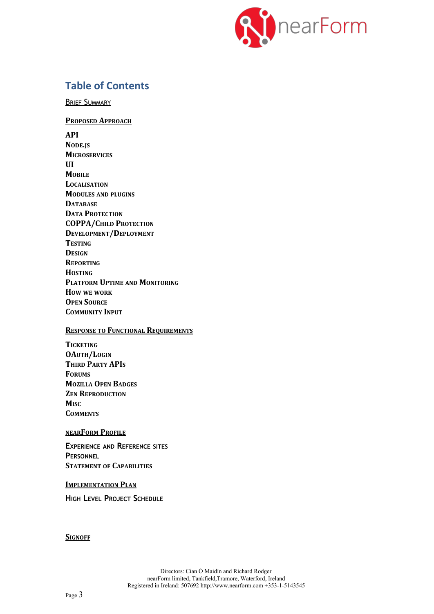

## **Table of Contents**

BRIEF SUMMARY

**PROPOSED APPROACH API NODE.JS MICROSERVICES UI MOBILE LOCALISATION MODULES AND PLUGINS DATABASE DATA PROTECTION COPPA/CHILD PROTECTION DEVELOPMENT/DEPLOYMENT TESTING DESIGN REPORTING HOSTING PLATFORM UPTIME AND MONITORING HOW WE WORK OPEN SOURCE COMMUNITY INPUT**

#### **RESPONSE TO FUNCTIONAL REQUIREMENTS**

**TICKETING OAUTH/LOGIN THIRD PARTY APIS FORUMS MOZILLA OPEN BADGES ZEN REPRODUCTION MISC COMMENTS**

#### **NEARFORM PROFILE**

**EXPERIENCE AND REFERENCE SITES PERSONNEL STATEMENT OF CAPABILITIES**

#### **IMPLEMENTATION PLAN**

**HIGH LEVEL PROJECT SCHEDULE**

**SIGNOFF**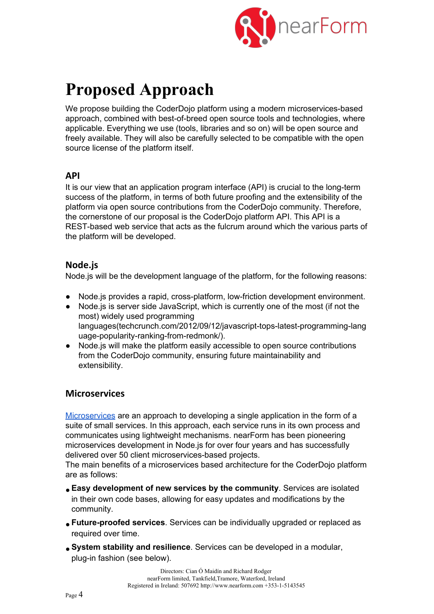

# **Proposed Approach**

We propose building the CoderDojo platform using a modern microservices-based approach, combined with best-of-breed open source tools and technologies, where applicable. Everything we use (tools, libraries and so on) will be open source and freely available. They will also be carefully selected to be compatible with the open source license of the platform itself.

## **API**

It is our view that an application program interface (API) is crucial to the long-term success of the platform, in terms of both future proofing and the extensibility of the platform via open source contributions from the CoderDojo community. Therefore, the cornerstone of our proposal is the CoderDojo platform API. This API is a REST-based web service that acts as the fulcrum around which the various parts of the platform will be developed.

## **Node.js**

Node.js will be the development language of the platform, for the following reasons:

- Node.js provides a rapid, cross-platform, low-friction development environment.
- Node.js is server side JavaScript, which is currently one of the most (if not the most) widely used programming languages(techcrunch.com/2012/09/12/javascript-tops-latest-programming-lang uage-popularity-ranking-from-redmonk/).
- Node.js will make the platform easily accessible to open source contributions from the CoderDojo community, ensuring future maintainability and extensibility.

## **Microservices**

[Microservices](http://martinfowler.com/articles/microservices.html) are an approach to developing a single application in the form of a suite of small services. In this approach, each service runs in its own process and communicates using lightweight mechanisms. nearForm has been pioneering microservices development in Node.js for over four years and has successfully delivered over 50 client microservices-based projects.

The main benefits of a microservices based architecture for the CoderDojo platform are as follows:

- **Easy development of new services by the community**. Services are isolated in their own code bases, allowing for easy updates and modifications by the community.
- **Future-proofed services**. Services can be individually upgraded or replaced as required over time.
- **System stability and resilience**. Services can be developed in a modular, plug-in fashion (see below).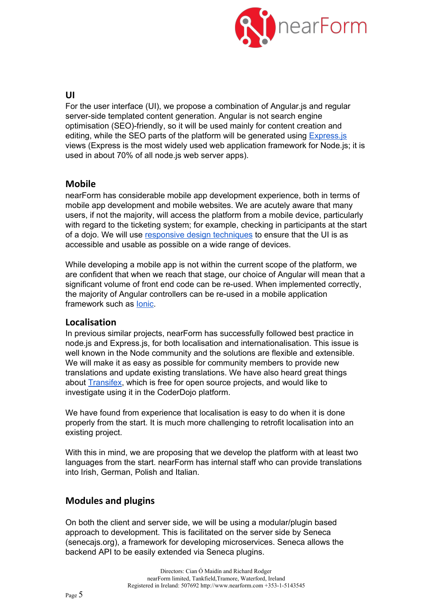

#### **UI**

For the user interface (UI), we propose a combination of Angular.js and regular server-side templated content generation. Angular is not search engine optimisation (SEO)-friendly, so it will be used mainly for content creation and editing, while the SEO parts of the platform will be generated using [Express.js](http://expressjs.com/) views (Express is the most widely used web application framework for Node.js; it is used in about 70% of all node.js web server apps).

### **Mobile**

nearForm has considerable mobile app development experience, both in terms of mobile app development and mobile websites. We are acutely aware that many users, if not the majority, will access the platform from a mobile device, particularly with regard to the ticketing system; for example, checking in participants at the start of a dojo. We will use responsive design [techniques](http://en.wikipedia.org/wiki/Responsive_web_design) to ensure that the UI is as accessible and usable as possible on a wide range of devices.

While developing a mobile app is not within the current scope of the platform, we are confident that when we reach that stage, our choice of Angular will mean that a significant volume of front end code can be re-used. When implemented correctly, the majority of Angular controllers can be re-used in a mobile application framework such as [Ionic.](http://ionicframework.com/)

#### **Localisation**

In previous similar projects, nearForm has successfully followed best practice in node.js and Express.js, for both localisation and internationalisation. This issue is well known in the Node community and the solutions are flexible and extensible. We will make it as easy as possible for community members to provide new translations and update existing translations. We have also heard great things about [Transifex,](http://www.transifex.com/) which is free for open source projects, and would like to investigate using it in the CoderDojo platform.

We have found from experience that localisation is easy to do when it is done properly from the start. It is much more challenging to retrofit localisation into an existing project.

With this in mind, we are proposing that we develop the platform with at least two languages from the start. nearForm has internal staff who can provide translations into Irish, German, Polish and Italian.

## **Modules and plugins**

On both the client and server side, we will be using a modular/plugin based approach to development. This is facilitated on the server side by Seneca (senecajs.org), a framework for developing microservices. Seneca allows the backend API to be easily extended via Seneca plugins.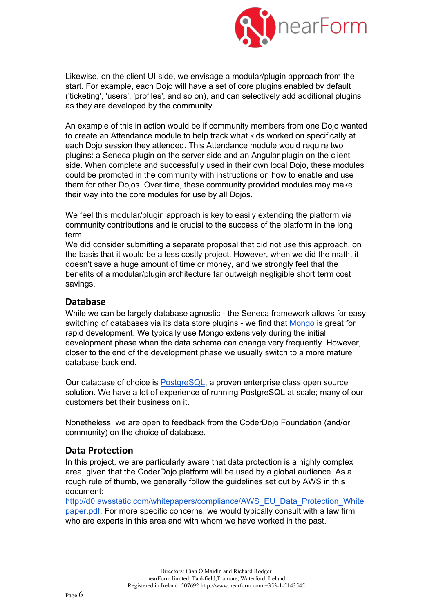

Likewise, on the client UI side, we envisage a modular/plugin approach from the start. For example, each Dojo will have a set of core plugins enabled by default ('ticketing', 'users', 'profiles', and so on), and can selectively add additional plugins as they are developed by the community.

An example of this in action would be if community members from one Dojo wanted to create an Attendance module to help track what kids worked on specifically at each Dojo session they attended. This Attendance module would require two plugins: a Seneca plugin on the server side and an Angular plugin on the client side. When complete and successfully used in their own local Dojo, these modules could be promoted in the community with instructions on how to enable and use them for other Dojos. Over time, these community provided modules may make their way into the core modules for use by all Dojos.

We feel this modular/plugin approach is key to easily extending the platform via community contributions and is crucial to the success of the platform in the long term.

We did consider submitting a separate proposal that did not use this approach, on the basis that it would be a less costly project. However, when we did the math, it doesn't save a huge amount of time or money, and we strongly feel that the benefits of a modular/plugin architecture far outweigh negligible short term cost savings.

### **Database**

While we can be largely database agnostic - the Seneca framework allows for easy switching of databases via its data store plugins - we find that [Mongo](http://mongodb.org/) is great for rapid development. We typically use Mongo extensively during the initial development phase when the data schema can change very frequently. However, closer to the end of the development phase we usually switch to a more mature database back end.

Our database of choice is [PostgreSQL](http://postgresql.org/), a proven enterprise class open source solution. We have a lot of experience of running PostgreSQL at scale; many of our customers bet their business on it.

Nonetheless, we are open to feedback from the CoderDojo Foundation (and/or community) on the choice of database.

#### **Data Protection**

In this project, we are particularly aware that data protection is a highly complex area, given that the CoderDojo platform will be used by a global audience. As a rough rule of thumb, we generally follow the guidelines set out by AWS in this document:

[http://d0.awsstatic.com/whitepapers/compliance/AWS\\_EU\\_Data\\_Protection\\_White](http://d0.awsstatic.com/whitepapers/compliance/AWS_EU_Data_Protection_Whitepaper.pdf) [paper.pdf.](http://d0.awsstatic.com/whitepapers/compliance/AWS_EU_Data_Protection_Whitepaper.pdf) For more specific concerns, we would typically consult with a law firm who are experts in this area and with whom we have worked in the past.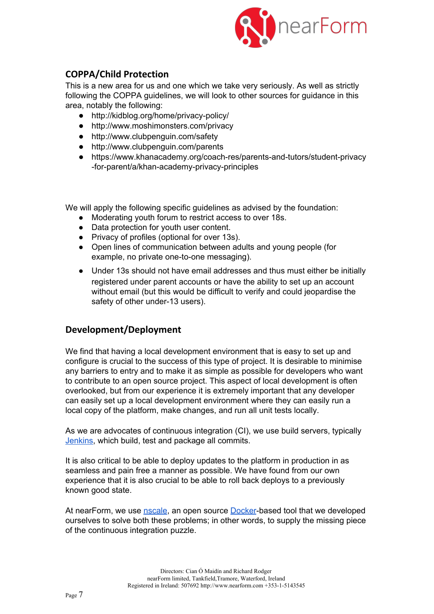

## **COPPA/Child Protection**

This is a new area for us and one which we take very seriously. As well as strictly following the COPPA guidelines, we will look to other sources for guidance in this area, notably the following:

- http://kidblog.org/home/privacy-policy/
- http://www.moshimonsters.com/privacy
- http://www.clubpenguin.com/safety
- http://www.clubpenguin.com/parents
- https://www.khanacademy.org/coach-res/parents-and-tutors/student-privacy -for-parent/a/khan-academy-privacy-principles

We will apply the following specific guidelines as advised by the foundation:

- Moderating youth forum to restrict access to over 18s.
- Data protection for youth user content.
- Privacy of profiles (optional for over 13s).
- Open lines of communication between adults and young people (for example, no private one-to-one messaging).
- Under 13s should not have email addresses and thus must either be initially registered under parent accounts or have the ability to set up an account without email (but this would be difficult to verify and could jeopardise the safety of other under-13 users).

## **Development/Deployment**

We find that having a local development environment that is easy to set up and configure is crucial to the success of this type of project. It is desirable to minimise any barriers to entry and to make it as simple as possible for developers who want to contribute to an open source project. This aspect of local development is often overlooked, but from our experience it is extremely important that any developer can easily set up a local development environment where they can easily run a local copy of the platform, make changes, and run all unit tests locally.

As we are advocates of continuous integration (CI), we use build servers, typically [Jenkins,](http://jenkins-ci.org/) which build, test and package all commits.

It is also critical to be able to deploy updates to the platform in production in as seamless and pain free a manner as possible. We have found from our own experience that it is also crucial to be able to roll back deploys to a previously known good state.

At nearForm, we use [nscale,](http://nscale.nearform.com/) an open source [Docker](http://docker.com/)-based tool that we developed ourselves to solve both these problems; in other words, to supply the missing piece of the continuous integration puzzle.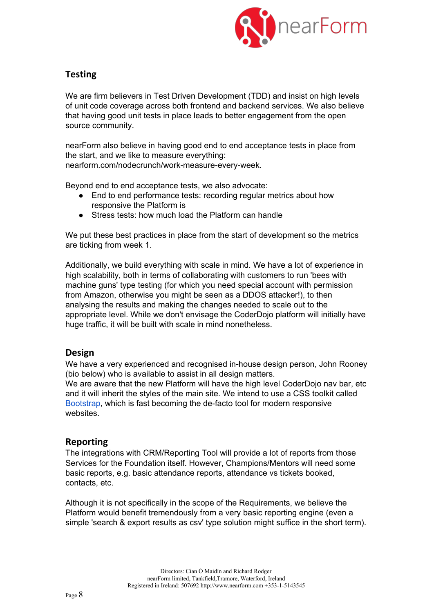

## **Testing**

We are firm believers in Test Driven Development (TDD) and insist on high levels of unit code coverage across both frontend and backend services. We also believe that having good unit tests in place leads to better engagement from the open source community.

nearForm also believe in having good end to end acceptance tests in place from the start, and we like to measure everything:

nearform.com/nodecrunch/work-measure-every-week.

Beyond end to end acceptance tests, we also advocate:

- End to end performance tests: recording regular metrics about how responsive the Platform is
- Stress tests: how much load the Platform can handle

We put these best practices in place from the start of development so the metrics are ticking from week 1.

Additionally, we build everything with scale in mind. We have a lot of experience in high scalability, both in terms of collaborating with customers to run 'bees with machine guns' type testing (for which you need special account with permission from Amazon, otherwise you might be seen as a DDOS attacker!), to then analysing the results and making the changes needed to scale out to the appropriate level. While we don't envisage the CoderDojo platform will initially have huge traffic, it will be built with scale in mind nonetheless.

## **Design**

We have a very experienced and recognised in-house design person, John Rooney (bio below) who is available to assist in all design matters.

We are aware that the new Platform will have the high level CoderDojo nav bar, etc and it will inherit the styles of the main site. We intend to use a CSS toolkit called [Bootstrap,](http://getbootstrap.com/) which is fast becoming the de-facto tool for modern responsive websites.

### **Reporting**

The integrations with CRM/Reporting Tool will provide a lot of reports from those Services for the Foundation itself. However, Champions/Mentors will need some basic reports, e.g. basic attendance reports, attendance vs tickets booked, contacts, etc.

Although it is not specifically in the scope of the Requirements, we believe the Platform would benefit tremendously from a very basic reporting engine (even a simple 'search & export results as csv' type solution might suffice in the short term).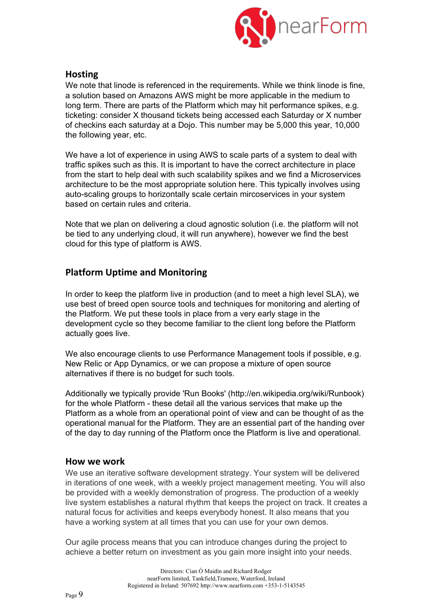

### **Hosting**

We note that linode is referenced in the requirements. While we think linode is fine, a solution based on Amazons AWS might be more applicable in the medium to long term. There are parts of the Platform which may hit performance spikes, e.g. ticketing: consider X thousand tickets being accessed each Saturday or X number of checkins each saturday at a Dojo. This number may be 5,000 this year, 10,000 the following year, etc.

We have a lot of experience in using AWS to scale parts of a system to deal with traffic spikes such as this. It is important to have the correct architecture in place from the start to help deal with such scalability spikes and we find a Microservices architecture to be the most appropriate solution here. This typically involves using auto-scaling groups to horizontally scale certain mircoservices in your system based on certain rules and criteria.

Note that we plan on delivering a cloud agnostic solution (i.e. the platform will not be tied to any underlying cloud, it will run anywhere), however we find the best cloud for this type of platform is AWS.

## **Platform Uptime and Monitoring**

In order to keep the platform live in production (and to meet a high level SLA), we use best of breed open source tools and techniques for monitoring and alerting of the Platform. We put these tools in place from a very early stage in the development cycle so they become familiar to the client long before the Platform actually goes live.

We also encourage clients to use Performance Management tools if possible, e.g. New Relic or App Dynamics, or we can propose a mixture of open source alternatives if there is no budget for such tools.

Additionally we typically provide 'Run Books' (http://en.wikipedia.org/wiki/Runbook) for the whole Platform - these detail all the various services that make up the Platform as a whole from an operational point of view and can be thought of as the operational manual for the Platform. They are an essential part of the handing over of the day to day running of the Platform once the Platform is live and operational.

#### **How we work**

We use an iterative software development strategy. Your system will be delivered in iterations of one week, with a weekly project management meeting. You will also be provided with a weekly demonstration of progress. The production of a weekly live system establishes a natural rhythm that keeps the project on track. It creates a natural focus for activities and keeps everybody honest. It also means that you have a working system at all times that you can use for your own demos.

Our agile process means that you can introduce changes during the project to achieve a better return on investment as you gain more insight into your needs.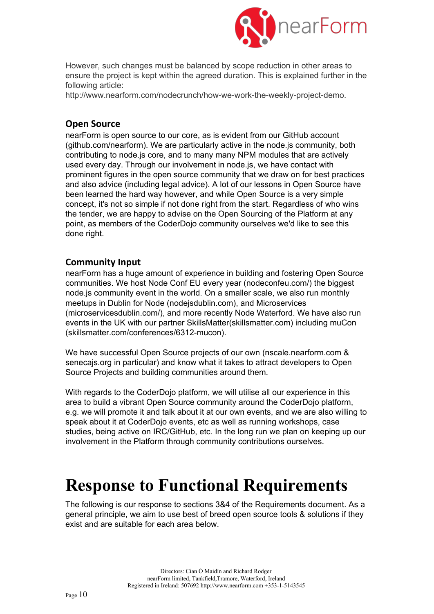

However, such changes must be balanced by scope reduction in other areas to ensure the project is kept within the agreed duration. This is explained further in the following article:

http://www.nearform.com/nodecrunch/how-we-work-the-weekly-project-demo.

## **Open Source**

nearForm is open source to our core, as is evident from our GitHub account (github.com/nearform). We are particularly active in the node.js community, both contributing to node.js core, and to many many NPM modules that are actively used every day. Through our involvement in node.js, we have contact with prominent figures in the open source community that we draw on for best practices and also advice (including legal advice). A lot of our lessons in Open Source have been learned the hard way however, and while Open Source is a very simple concept, it's not so simple if not done right from the start. Regardless of who wins the tender, we are happy to advise on the Open Sourcing of the Platform at any point, as members of the CoderDojo community ourselves we'd like to see this done right.

## **Community Input**

nearForm has a huge amount of experience in building and fostering Open Source communities. We host Node Conf EU every year (nodeconfeu.com/) the biggest node.js community event in the world. On a smaller scale, we also run monthly meetups in Dublin for Node (nodejsdublin.com), and Microservices (microservicesdublin.com/), and more recently Node Waterford. We have also run events in the UK with our partner SkillsMatter(skillsmatter.com) including muCon (skillsmatter.com/conferences/6312-mucon).

We have successful Open Source projects of our own (nscale.nearform.com & senecajs.org in particular) and know what it takes to attract developers to Open Source Projects and building communities around them.

With regards to the CoderDojo platform, we will utilise all our experience in this area to build a vibrant Open Source community around the CoderDojo platform, e.g. we will promote it and talk about it at our own events, and we are also willing to speak about it at CoderDojo events, etc as well as running workshops, case studies, being active on IRC/GitHub, etc. In the long run we plan on keeping up our involvement in the Platform through community contributions ourselves.

# **Response to Functional Requirements**

The following is our response to sections 3&4 of the Requirements document. As a general principle, we aim to use best of breed open source tools & solutions if they exist and are suitable for each area below.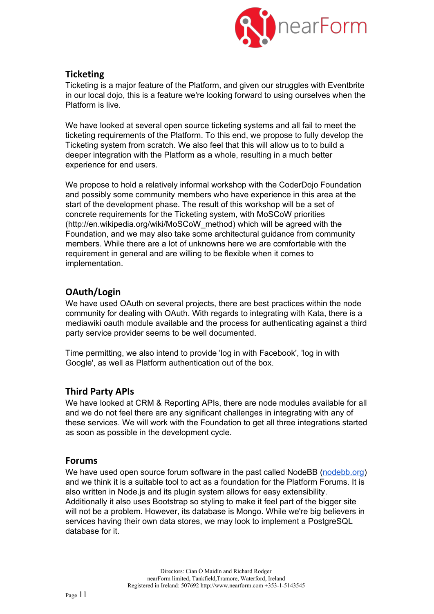

## **Ticketing**

Ticketing is a major feature of the Platform, and given our struggles with Eventbrite in our local dojo, this is a feature we're looking forward to using ourselves when the Platform is live.

We have looked at several open source ticketing systems and all fail to meet the ticketing requirements of the Platform. To this end, we propose to fully develop the Ticketing system from scratch. We also feel that this will allow us to to build a deeper integration with the Platform as a whole, resulting in a much better experience for end users.

We propose to hold a relatively informal workshop with the CoderDojo Foundation and possibly some community members who have experience in this area at the start of the development phase. The result of this workshop will be a set of concrete requirements for the Ticketing system, with MoSCoW priorities (http://en.wikipedia.org/wiki/MoSCoW\_method) which will be agreed with the Foundation, and we may also take some architectural guidance from community members. While there are a lot of unknowns here we are comfortable with the requirement in general and are willing to be flexible when it comes to implementation.

## **OAuth/Login**

We have used OAuth on several projects, there are best practices within the node community for dealing with OAuth. With regards to integrating with Kata, there is a mediawiki oauth module available and the process for authenticating against a third party service provider seems to be well documented.

Time permitting, we also intend to provide 'log in with Facebook', 'log in with Google', as well as Platform authentication out of the box.

### **Third Party APIs**

We have looked at CRM & Reporting APIs, there are node modules available for all and we do not feel there are any significant challenges in integrating with any of these services. We will work with the Foundation to get all three integrations started as soon as possible in the development cycle.

#### **Forums**

We have used open source forum software in the past called NodeBB [\(nodebb.org\)](http://nodebb.org/) and we think it is a suitable tool to act as a foundation for the Platform Forums. It is also written in Node.js and its plugin system allows for easy extensibility. Additionally it also uses Bootstrap so styling to make it feel part of the bigger site will not be a problem. However, its database is Mongo. While we're big believers in services having their own data stores, we may look to implement a PostgreSQL database for it.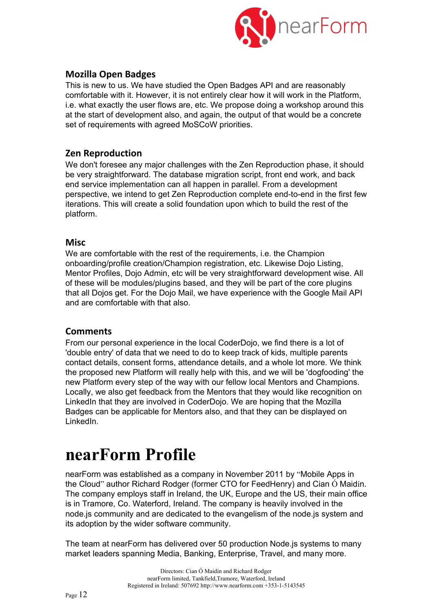

## **Mozilla Open Badges**

This is new to us. We have studied the Open Badges API and are reasonably comfortable with it. However, it is not entirely clear how it will work in the Platform, i.e. what exactly the user flows are, etc. We propose doing a workshop around this at the start of development also, and again, the output of that would be a concrete set of requirements with agreed MoSCoW priorities.

## **Zen Reproduction**

We don't foresee any major challenges with the Zen Reproduction phase, it should be very straightforward. The database migration script, front end work, and back end service implementation can all happen in parallel. From a development perspective, we intend to get Zen Reproduction complete end-to-end in the first few iterations. This will create a solid foundation upon which to build the rest of the platform.

## **Misc**

We are comfortable with the rest of the requirements, i.e. the Champion onboarding/profile creation/Champion registration, etc. Likewise Dojo Listing, Mentor Profiles, Dojo Admin, etc will be very straightforward development wise. All of these will be modules/plugins based, and they will be part of the core plugins that all Dojos get. For the Dojo Mail, we have experience with the Google Mail API and are comfortable with that also.

### **Comments**

From our personal experience in the local CoderDojo, we find there is a lot of 'double entry' of data that we need to do to keep track of kids, multiple parents contact details, consent forms, attendance details, and a whole lot more. We think the proposed new Platform will really help with this, and we will be 'dogfooding' the new Platform every step of the way with our fellow local Mentors and Champions. Locally, we also get feedback from the Mentors that they would like recognition on LinkedIn that they are involved in CoderDojo. We are hoping that the Mozilla Badges can be applicable for Mentors also, and that they can be displayed on LinkedIn.

# **nearForm Profile**

nearForm was established as a company in November 2011 by "Mobile Apps in the Cloud" author Richard Rodger (former CTO for FeedHenry) and Cian Ó Maidín. The company employs staff in Ireland, the UK, Europe and the US, their main office is in Tramore, Co. Waterford, Ireland. The company is heavily involved in the node.js community and are dedicated to the evangelism of the node.js system and its adoption by the wider software community.

The team at nearForm has delivered over 50 production Node.js systems to many market leaders spanning Media, Banking, Enterprise, Travel, and many more.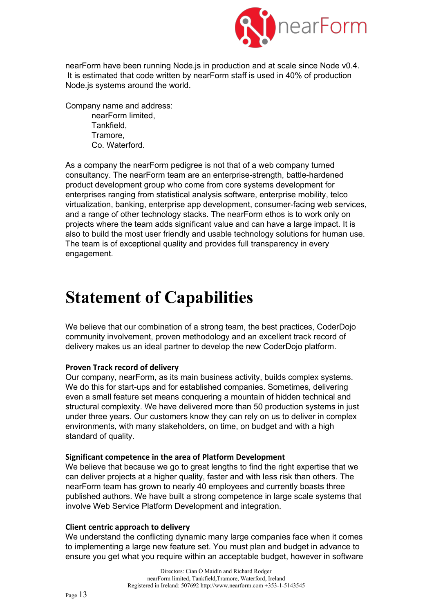

nearForm have been running Node.js in production and at scale since Node v0.4. It is estimated that code written by nearForm staff is used in 40% of production Node.js systems around the world.

Company name and address: nearForm limited, **Tankfield** Tramore, Co. Waterford.

As a company the nearForm pedigree is not that of a web company turned consultancy. The nearForm team are an enterprise-strength, battle-hardened product development group who come from core systems development for enterprises ranging from statistical analysis software, enterprise mobility, telco virtualization, banking, enterprise app development, consumer-facing web services, and a range of other technology stacks. The nearForm ethos is to work only on projects where the team adds significant value and can have a large impact. It is also to build the most user friendly and usable technology solutions for human use. The team is of exceptional quality and provides full transparency in every engagement.

# **Statement of Capabilities**

We believe that our combination of a strong team, the best practices, CoderDojo community involvement, proven methodology and an excellent track record of delivery makes us an ideal partner to develop the new CoderDojo platform.

#### **Proven Track record of delivery**

Our company, nearForm, as its main business activity, builds complex systems. We do this for start-ups and for established companies. Sometimes, delivering even a small feature set means conquering a mountain of hidden technical and structural complexity. We have delivered more than 50 production systems in just under three years. Our customers know they can rely on us to deliver in complex environments, with many stakeholders, on time, on budget and with a high standard of quality.

#### **Significant competence in the area of Platform Development**

We believe that because we go to great lengths to find the right expertise that we can deliver projects at a higher quality, faster and with less risk than others. The nearForm team has grown to nearly 40 employees and currently boasts three published authors. We have built a strong competence in large scale systems that involve Web Service Platform Development and integration.

#### **Client centric approach to delivery**

We understand the conflicting dynamic many large companies face when it comes to implementing a large new feature set. You must plan and budget in advance to ensure you get what you require within an acceptable budget, however in software